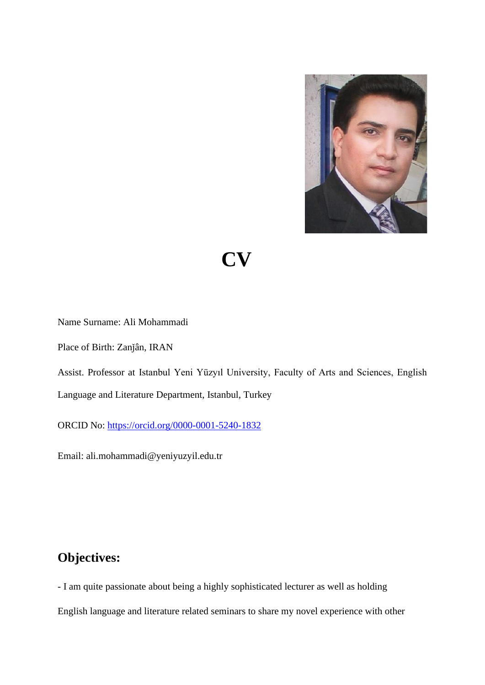

 **CV**

Name Surname: Ali Mohammadi

Place of Birth: Zanǰân, IRAN

Assist. Professor at Istanbul Yeni Yüzyıl University, Faculty of Arts and Sciences, English Language and Literature Department, Istanbul, Turkey

ORCID No:<https://orcid.org/0000-0001-5240-1832>

Email: ali.mohammadi@yeniyuzyil.edu.tr

### **Objectives:**

- I am quite passionate about being a highly sophisticated lecturer as well as holding English language and literature related seminars to share my novel experience with other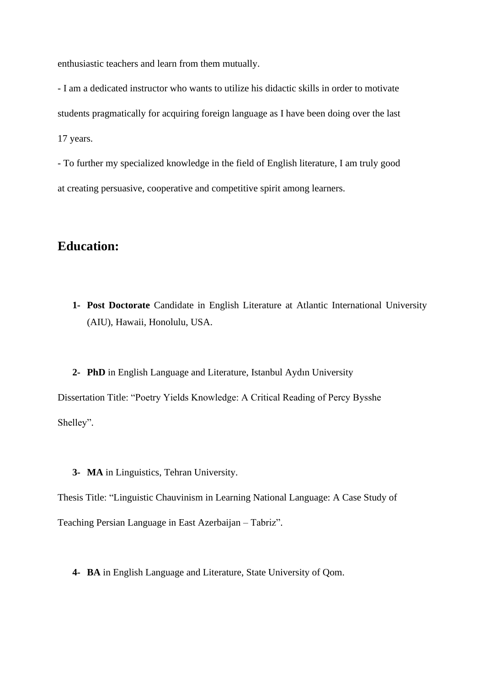enthusiastic teachers and learn from them mutually.

- I am a dedicated instructor who wants to utilize his didactic skills in order to motivate students pragmatically for acquiring foreign language as I have been doing over the last 17 years.

- To further my specialized knowledge in the field of English literature, I am truly good at creating persuasive, cooperative and competitive spirit among learners.

### **Education:**

- **1- Post Doctorate** Candidate in English Literature at Atlantic International University (AIU), Hawaii, Honolulu, USA.
- **2- PhD** in English Language and Literature, Istanbul Aydın University Dissertation Title: "Poetry Yields Knowledge: A Critical Reading of Percy Bysshe Shelley".
	- **3- MA** in Linguistics, Tehran University.

Thesis Title: "Linguistic Chauvinism in Learning National Language: A Case Study of Teaching Persian Language in East Azerbaijan – Tabriz".

**4- BA** in English Language and Literature, State University of Qom.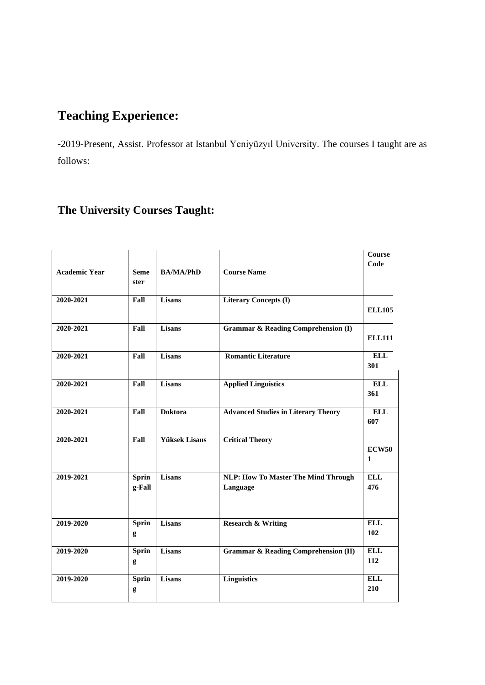# **Teaching Experience:**

**-**2019-Present, Assist. Professor at Istanbul Yeniyüzyıl University. The courses I taught are as follows:

# **The University Courses Taught:**

| <b>Academic Year</b> | <b>Seme</b><br>ster    | <b>BA/MA/PhD</b>     | <b>Course Name</b>                                     | Course<br>Code               |
|----------------------|------------------------|----------------------|--------------------------------------------------------|------------------------------|
| 2020-2021            | Fall                   | Lisans               | <b>Literary Concepts (I)</b>                           | <b>ELL105</b>                |
| 2020-2021            | Fall                   | <b>Lisans</b>        | <b>Grammar &amp; Reading Comprehension (I)</b>         | <b>ELL111</b>                |
| 2020-2021            | Fall                   | Lisans               | <b>Romantic Literature</b>                             | <b>ELL</b><br>301            |
| 2020-2021            | Fall                   | Lisans               | <b>Applied Linguistics</b>                             | <b>ELL</b><br>361            |
| 2020-2021            | Fall                   | <b>Doktora</b>       | <b>Advanced Studies in Literary Theory</b>             | <b>ELL</b><br>607            |
| 2020-2021            | Fall                   | <b>Yüksek Lisans</b> | <b>Critical Theory</b>                                 | <b>ECW50</b><br>$\mathbf{1}$ |
| 2019-2021            | <b>Sprin</b><br>g-Fall | Lisans               | <b>NLP: How To Master The Mind Through</b><br>Language | <b>ELL</b><br>476            |
| 2019-2020            | <b>Sprin</b><br>g      | Lisans               | <b>Research &amp; Writing</b>                          | <b>ELL</b><br>102            |
| 2019-2020            | <b>Sprin</b><br>g      | <b>Lisans</b>        | <b>Grammar &amp; Reading Comprehension (II)</b>        | <b>ELL</b><br>112            |
| 2019-2020            | <b>Sprin</b><br>g      | Lisans               | <b>Linguistics</b>                                     | <b>ELL</b><br>210            |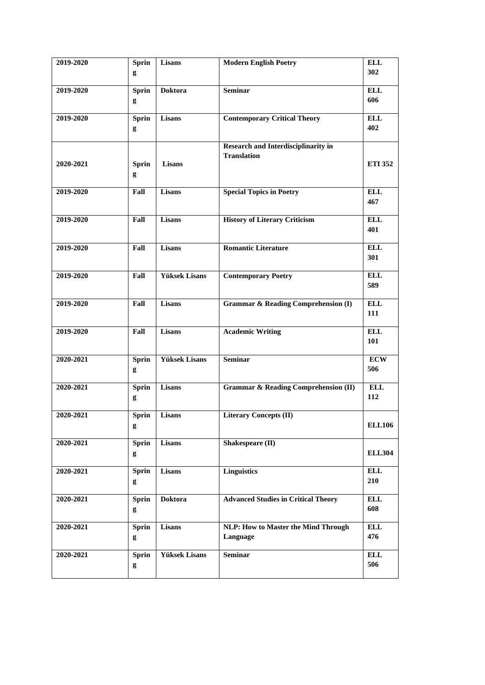| 2019-2020 |              | Lisans               | <b>Modern English Poetry</b>                    | <b>ELL</b>     |
|-----------|--------------|----------------------|-------------------------------------------------|----------------|
|           | <b>Sprin</b> |                      |                                                 |                |
|           | g            |                      |                                                 | 302            |
|           |              |                      |                                                 |                |
| 2019-2020 | <b>Sprin</b> | <b>Doktora</b>       | <b>Seminar</b>                                  | <b>ELL</b>     |
|           | g            |                      |                                                 | 606            |
|           |              |                      |                                                 |                |
| 2019-2020 | <b>Sprin</b> | Lisans               | <b>Contemporary Critical Theory</b>             | <b>ELL</b>     |
|           | g            |                      |                                                 | 402            |
|           |              |                      |                                                 |                |
|           |              |                      | <b>Research and Interdisciplinarity in</b>      |                |
|           |              |                      | <b>Translation</b>                              |                |
| 2020-2021 | <b>Sprin</b> | Lisans               |                                                 | <b>ETI 352</b> |
|           |              |                      |                                                 |                |
|           | g            |                      |                                                 |                |
|           |              |                      |                                                 |                |
| 2019-2020 | Fall         | Lisans               | <b>Special Topics in Poetry</b>                 | <b>ELL</b>     |
|           |              |                      |                                                 | 467            |
|           |              |                      |                                                 |                |
| 2019-2020 | Fall         | <b>Lisans</b>        | <b>History of Literary Criticism</b>            | <b>ELL</b>     |
|           |              |                      |                                                 | 401            |
|           |              |                      |                                                 |                |
| 2019-2020 | Fall         | <b>Lisans</b>        | <b>Romantic Literature</b>                      | <b>ELL</b>     |
|           |              |                      |                                                 | 301            |
|           |              |                      |                                                 |                |
| 2019-2020 | Fall         | <b>Yüksek Lisans</b> | <b>Contemporary Poetry</b>                      | <b>ELL</b>     |
|           |              |                      |                                                 | 589            |
|           |              |                      |                                                 |                |
|           |              |                      |                                                 |                |
| 2019-2020 | Fall         | Lisans               | <b>Grammar &amp; Reading Comprehension (I)</b>  | <b>ELL</b>     |
|           |              |                      |                                                 | 111            |
|           |              |                      |                                                 |                |
| 2019-2020 | Fall         | <b>Lisans</b>        | <b>Academic Writing</b>                         | <b>ELL</b>     |
|           |              |                      |                                                 | 101            |
|           |              |                      |                                                 |                |
| 2020-2021 | <b>Sprin</b> | <b>Yüksek Lisans</b> | <b>Seminar</b>                                  | <b>ECW</b>     |
|           | g            |                      |                                                 | 506            |
|           |              |                      |                                                 |                |
| 2020-2021 | <b>Sprin</b> | Lisans               | <b>Grammar &amp; Reading Comprehension (II)</b> | <b>ELL</b>     |
|           | g            |                      |                                                 | 112            |
|           |              |                      |                                                 |                |
| 2020-2021 | <b>Sprin</b> | Lisans               | <b>Literary Concepts (II)</b>                   |                |
|           |              |                      |                                                 |                |
|           | g            |                      |                                                 | <b>ELL106</b>  |
|           |              |                      |                                                 |                |
| 2020-2021 | <b>Sprin</b> | Lisans               | Shakespeare (II)                                |                |
|           | g            |                      |                                                 | <b>ELL304</b>  |
|           |              |                      |                                                 |                |
| 2020-2021 | <b>Sprin</b> | Lisans               | <b>Linguistics</b>                              | <b>ELL</b>     |
|           | g            |                      |                                                 | 210            |
|           |              |                      |                                                 |                |
| 2020-2021 | <b>Sprin</b> | <b>Doktora</b>       | <b>Advanced Studies in Critical Theory</b>      | <b>ELL</b>     |
|           | g            |                      |                                                 | 608            |
|           |              |                      |                                                 |                |
| 2020-2021 | <b>Sprin</b> | Lisans               | <b>NLP: How to Master the Mind Through</b>      | <b>ELL</b>     |
|           |              |                      | Language                                        | 476            |
|           | g            |                      |                                                 |                |
| 2020-2021 | <b>Sprin</b> | <b>Yüksek Lisans</b> | <b>Seminar</b>                                  | <b>ELL</b>     |
|           |              |                      |                                                 |                |
|           | g            |                      |                                                 | 506            |
|           |              |                      |                                                 |                |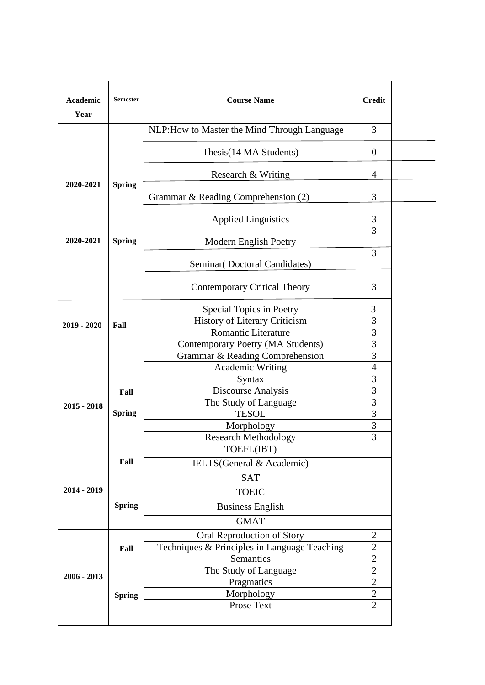| Academic<br>Year | <b>Semester</b> | <b>Course Name</b>                                  |                |  |
|------------------|-----------------|-----------------------------------------------------|----------------|--|
|                  |                 | NLP: How to Master the Mind Through Language        | 3              |  |
|                  |                 | Thesis(14 MA Students)                              | $\mathbf{0}$   |  |
|                  |                 | Research & Writing                                  | $\overline{4}$ |  |
| 2020-2021        | <b>Spring</b>   | Grammar & Reading Comprehension (2)                 | 3              |  |
|                  |                 | <b>Applied Linguistics</b>                          | 3<br>3         |  |
| 2020-2021        | <b>Spring</b>   | Modern English Poetry                               |                |  |
|                  |                 | Seminar(Doctoral Candidates)                        | 3              |  |
|                  |                 | <b>Contemporary Critical Theory</b>                 | 3              |  |
|                  |                 | Special Topics in Poetry                            | 3              |  |
| $2019 - 2020$    | Fall            | History of Literary Criticism                       | 3              |  |
|                  |                 | <b>Romantic Literature</b>                          | 3              |  |
|                  |                 | Contemporary Poetry (MA Students)                   | 3<br>3         |  |
|                  |                 | Grammar & Reading Comprehension<br>Academic Writing | $\overline{4}$ |  |
|                  |                 | Syntax                                              | 3              |  |
|                  | Fall            | Discourse Analysis                                  | 3              |  |
| $2015 - 2018$    |                 | The Study of Language                               | 3              |  |
|                  | <b>Spring</b>   | <b>TESOL</b>                                        | 3              |  |
|                  |                 | Morphology                                          | $\overline{3}$ |  |
|                  |                 | <b>Research Methodology</b>                         | 3              |  |
|                  |                 | TOEFL(IBT)                                          |                |  |
|                  | Fall            | IELTS(General & Academic)                           |                |  |
|                  |                 | <b>SAT</b>                                          |                |  |
| 2014 - 2019      |                 | <b>TOEIC</b>                                        |                |  |
|                  | <b>Spring</b>   | <b>Business English</b>                             |                |  |
|                  |                 | <b>GMAT</b>                                         |                |  |
|                  |                 | Oral Reproduction of Story                          | $\overline{2}$ |  |
|                  | Fall            | Techniques & Principles in Language Teaching        | $\overline{2}$ |  |
|                  |                 | Semantics                                           | $\overline{2}$ |  |
|                  |                 | The Study of Language                               | $\overline{2}$ |  |
| $2006 - 2013$    |                 | Pragmatics                                          | $\overline{2}$ |  |
|                  | <b>Spring</b>   | Morphology                                          | $\overline{2}$ |  |
|                  |                 | Prose Text                                          | $\overline{2}$ |  |
|                  |                 |                                                     |                |  |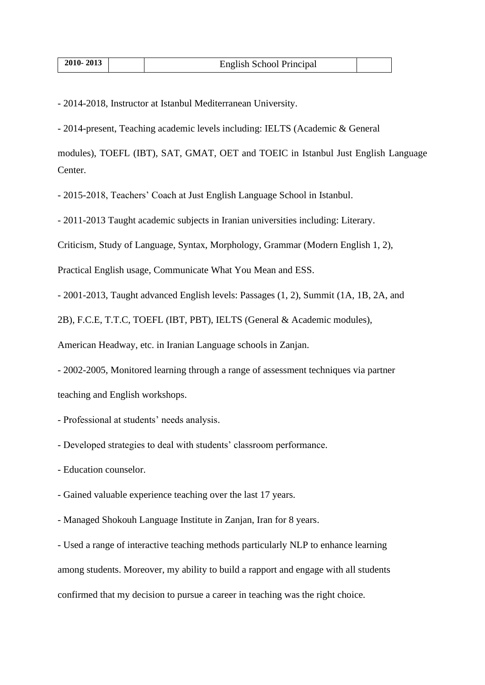- 2014-2018, Instructor at Istanbul Mediterranean University.

- 2014-present, Teaching academic levels including: IELTS (Academic & General

modules), TOEFL (IBT), SAT, GMAT, OET and TOEIC in Istanbul Just English Language Center.

- 2015-2018, Teachers' Coach at Just English Language School in Istanbul.

- 2011-2013 Taught academic subjects in Iranian universities including: Literary.

Criticism, Study of Language, Syntax, Morphology, Grammar (Modern English 1, 2),

Practical English usage, Communicate What You Mean and ESS.

- 2001-2013, Taught advanced English levels: Passages (1, 2), Summit (1A, 1B, 2A, and

2B), F.C.E, T.T.C, TOEFL (IBT, PBT), IELTS (General & Academic modules),

American Headway, etc. in Iranian Language schools in Zanjan.

- 2002-2005, Monitored learning through a range of assessment techniques via partner teaching and English workshops.

- Professional at students' needs analysis.
- Developed strategies to deal with students' classroom performance.
- Education counselor.
- Gained valuable experience teaching over the last 17 years.
- Managed Shokouh Language Institute in Zanjan, Iran for 8 years.

- Used a range of interactive teaching methods particularly NLP to enhance learning among students. Moreover, my ability to build a rapport and engage with all students confirmed that my decision to pursue a career in teaching was the right choice.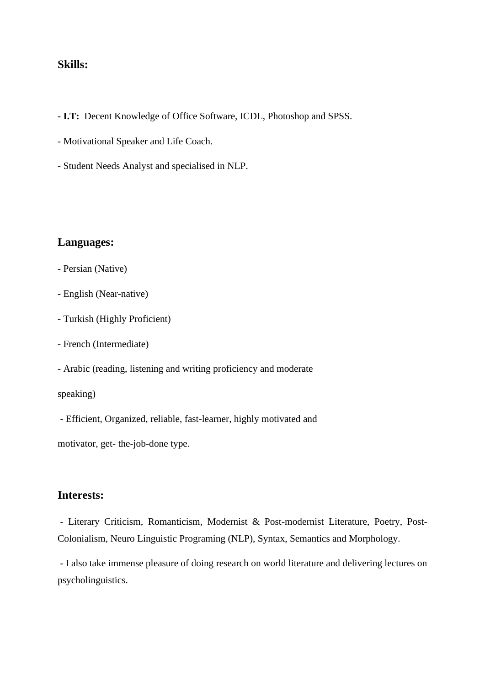#### **Skills:**

- **- I.T:** Decent Knowledge of Office Software, ICDL, Photoshop and SPSS.
- Motivational Speaker and Life Coach.
- Student Needs Analyst and specialised in NLP.

#### **Languages:**

- Persian (Native)
- English (Near-native)
- Turkish (Highly Proficient)
- French (Intermediate)
- Arabic (reading, listening and writing proficiency and moderate

speaking)

- Efficient, Organized, reliable, fast-learner, highly motivated and

motivator, get- the-job-done type.

#### **Interests:**

- Literary Criticism, Romanticism, Modernist & Post-modernist Literature, Poetry, Post-Colonialism, Neuro Linguistic Programing (NLP), Syntax, Semantics and Morphology.

- I also take immense pleasure of doing research on world literature and delivering lectures on psycholinguistics.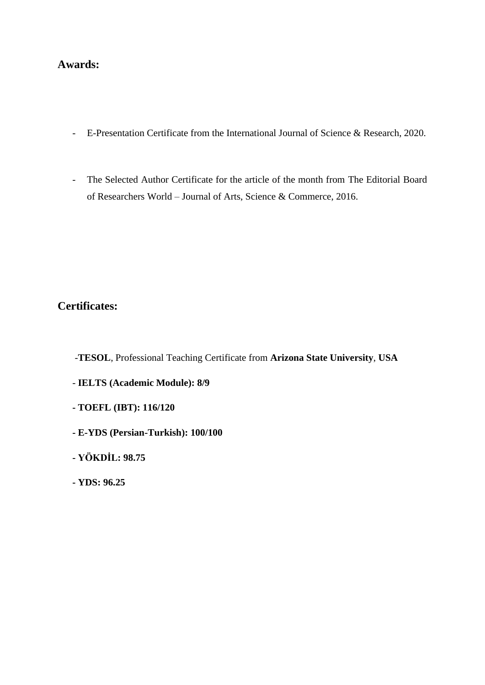#### **Awards:**

- E-Presentation Certificate from the International Journal of Science & Research, 2020.
- The Selected Author Certificate for the article of the month from The Editorial Board of Researchers World – Journal of Arts, Science & Commerce, 2016.

#### **Certificates:**

- -**TESOL**, Professional Teaching Certificate from **Arizona State University**, **USA**
- **IELTS (Academic Module): 8/9**
- **- TOEFL (IBT): 116/120**
- **- E-YDS (Persian-Turkish): 100/100**
- **- YÖKDİL: 98.75**
- **- YDS: 96.25**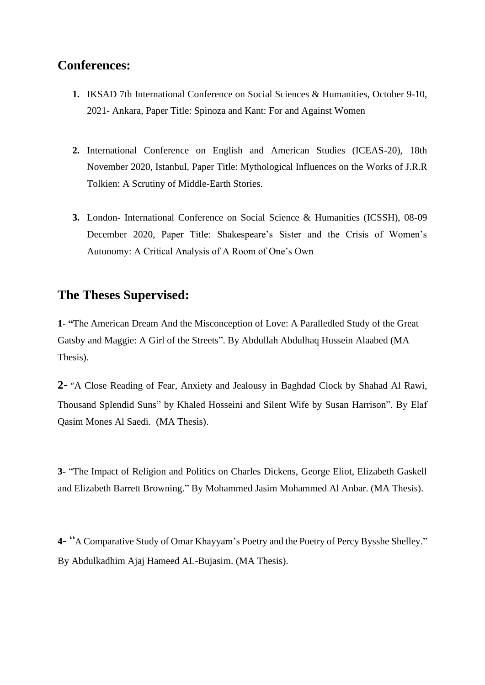# **Conferences:**

- **1.** IKSAD 7th International Conference on Social Sciences & Humanities, October 9-10, 2021- Ankara, Paper Title: Spinoza and Kant: For and Against Women
- **2.** International Conference on English and American Studies (ICEAS-20), 18th November 2020, Istanbul, Paper Title: Mythological Influences on the Works of J.R.R Tolkien: A Scrutiny of Middle-Earth Stories.
- **3.** London- International Conference on Social Science & Humanities (ICSSH), 08-09 December 2020, Paper Title: Shakespeare's Sister and the Crisis of Women's Autonomy: A Critical Analysis of A Room of One's Own

### **The Theses Supervised:**

**1**- **"**The American Dream And the Misconception of Love: A Paralledled Study of the Great Gatsby and Maggie: A Girl of the Streets". By Abdullah Abdulhaq Hussein Alaabed (MA Thesis).

**2**- "A Close Reading of Fear, Anxiety and Jealousy in Baghdad Clock by Shahad Al Rawi, Thousand Splendid Suns" by Khaled Hosseini and Silent Wife by Susan Harrison". By Elaf Qasim Mones Al Saedi. (MA Thesis).

**3-** "The Impact of Religion and Politics on Charles Dickens, George Eliot, Elizabeth Gaskell and Elizabeth Barrett Browning." By Mohammed Jasim Mohammed Al Anbar. (MA Thesis).

**4-** "<sup>A</sup> Comparative Study of Omar Khayyam's Poetry and the Poetry of Percy Bysshe Shelley." By Abdulkadhim Ajaj Hameed AL-Bujasim. (MA Thesis).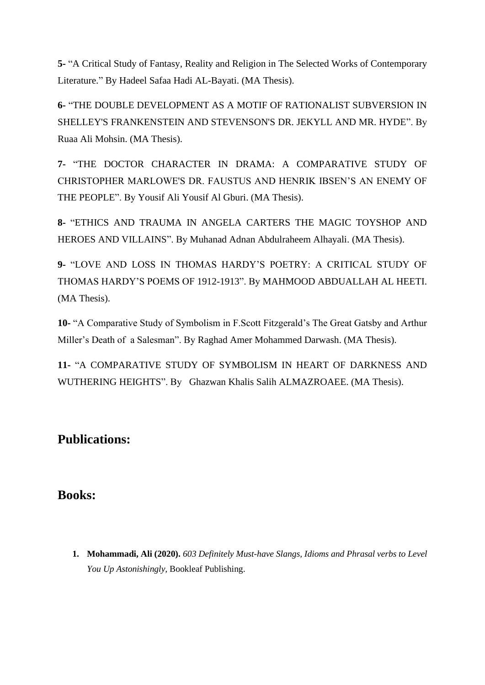**5-** "A Critical Study of Fantasy, Reality and Religion in The Selected Works of Contemporary Literature." By Hadeel Safaa Hadi AL-Bayati. (MA Thesis).

**6-** "THE DOUBLE DEVELOPMENT AS A MOTIF OF RATIONALIST SUBVERSION IN SHELLEY'S FRANKENSTEIN AND STEVENSON'S DR. JEKYLL AND MR. HYDE". By Ruaa Ali Mohsin. (MA Thesis).

**7-** "THE DOCTOR CHARACTER IN DRAMA: A COMPARATIVE STUDY OF CHRISTOPHER MARLOWE'S DR. FAUSTUS AND HENRIK IBSEN'S AN ENEMY OF THE PEOPLE". By Yousif Ali Yousif Al Gburi. (MA Thesis).

**8-** "ETHICS AND TRAUMA IN ANGELA CARTERS THE MAGIC TOYSHOP AND HEROES AND VILLAINS". By Muhanad Adnan Abdulraheem Alhayali. (MA Thesis).

**9-** "LOVE AND LOSS IN THOMAS HARDY'S POETRY: A CRITICAL STUDY OF THOMAS HARDY'S POEMS OF 1912-1913". By MAHMOOD ABDUALLAH AL HEETI. (MA Thesis).

**10-** "A Comparative Study of Symbolism in F.Scott Fitzgerald's The Great Gatsby and Arthur Miller's Death of a Salesman". By Raghad Amer Mohammed Darwash. (MA Thesis).

**11-** "A COMPARATIVE STUDY OF SYMBOLISM IN HEART OF DARKNESS AND WUTHERING HEIGHTS". By Ghazwan Khalis Salih ALMAZROAEE. (MA Thesis).

# **Publications:**

# **Books:**

**1. Mohammadi, Ali (2020).** *603 Definitely Must-have Slangs, Idioms and Phrasal verbs to Level You Up Astonishingly,* Bookleaf Publishing.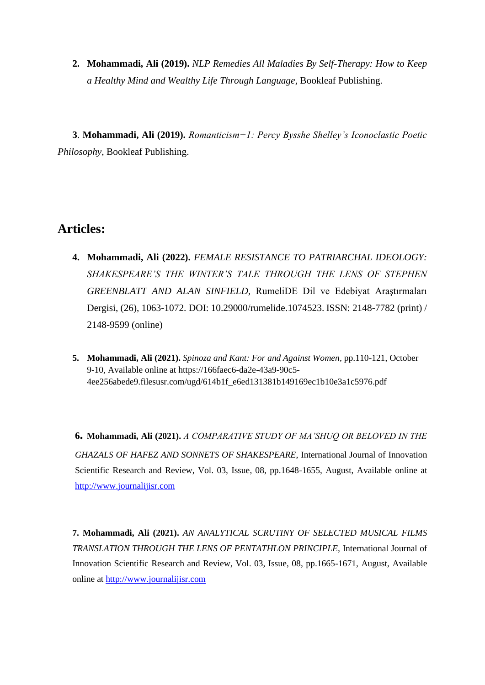**2. Mohammadi, Ali (2019).** *NLP Remedies All Maladies By Self-Therapy: How to Keep a Healthy Mind and Wealthy Life Through Language*, Bookleaf Publishing.

 **3**. **Mohammadi, Ali (2019).** *Romanticism+1: Percy Bysshe Shelley's Iconoclastic Poetic Philosophy*, Bookleaf Publishing.

# **Articles:**

- **4. Mohammadi, Ali (2022).** *FEMALE RESISTANCE TO PATRIARCHAL IDEOLOGY: SHAKESPEARE'S THE WINTER'S TALE THROUGH THE LENS OF STEPHEN GREENBLATT AND ALAN SINFIELD,* RumeliDE Dil ve Edebiyat Araştırmaları Dergisi, (26), 1063-1072. DOI: 10.29000/rumelide.1074523. ISSN: 2148-7782 (print) / 2148-9599 (online)
- **5. Mohammadi, Ali (2021).** *Spinoza and Kant: For and Against Women,* pp.110-121, October 9-10, Available online at https://166faec6-da2e-43a9-90c5- 4ee256abede9.filesusr.com/ugd/614b1f\_e6ed131381b149169ec1b10e3a1c5976.pdf

**6. Mohammadi, Ali (2021).** *A COMPARATIVE STUDY OF MA'SHUQ OR BELOVED IN THE GHAZALS OF HAFEZ AND SONNETS OF SHAKESPEARE*, International Journal of Innovation Scientific Research and Review, Vol. 03, Issue, 08, pp.1648-1655, August, Available online at [http://www.journalijisr.com](http://www.journalijisr.com/)

**7. Mohammadi, Ali (2021).** *AN ANALYTICAL SCRUTINY OF SELECTED MUSICAL FILMS TRANSLATION THROUGH THE LENS OF PENTATHLON PRINCIPLE,* International Journal of Innovation Scientific Research and Review, Vol. 03, Issue, 08, pp.1665-1671, August, Available online at [http://www.journalijisr.com](http://www.journalijisr.com/)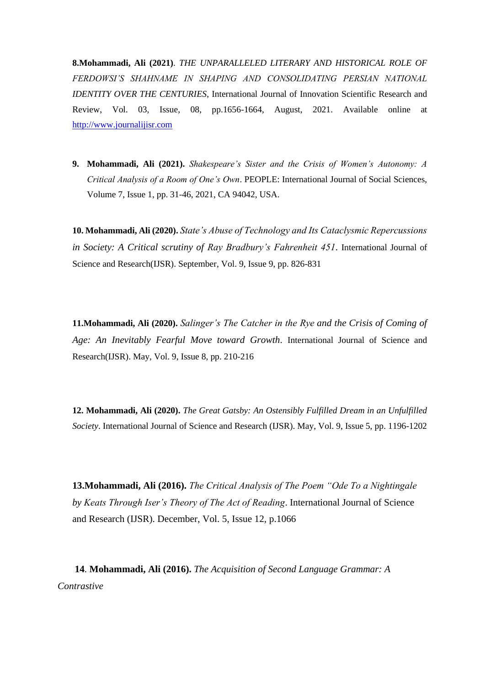**8.Mohammadi, Ali (2021)**. *THE UNPARALLELED LITERARY AND HISTORICAL ROLE OF FERDOWSI'S SHAHNAME IN SHAPING AND CONSOLIDATING PERSIAN NATIONAL IDENTITY OVER THE CENTURIES*, International Journal of Innovation Scientific Research and Review, Vol. 03, Issue, 08, pp.1656-1664, August, 2021. Available online at [http://www.journalijisr.com](http://www.journalijisr.com/)

**9. Mohammadi, Ali (2021).** *Shakespeare's Sister and the Crisis of Women's Autonomy: A Critical Analysis of a Room of One's Own*. PEOPLE: International Journal of Social Sciences, Volume 7, Issue 1, pp. 31-46, 2021, CA 94042, USA.

**10. Mohammadi, Ali (2020).** *State's Abuse of Technology and Its Cataclysmic Repercussions in Society: A Critical scrutiny of Ray Bradbury's Fahrenheit 451*. International Journal of Science and Research(IJSR). September, Vol. 9, Issue 9, pp. 826-831

**11.Mohammadi, Ali (2020).** *Salinger's The Catcher in the Rye and the Crisis of Coming of Age: An Inevitably Fearful Move toward Growth*. International Journal of Science and Research(IJSR). May, Vol. 9, Issue 8, pp. 210-216

**12. Mohammadi, Ali (2020).** *The Great Gatsby: An Ostensibly Fulfilled Dream in an Unfulfilled Society*. International Journal of Science and Research (IJSR). May, Vol. 9, Issue 5, pp. 1196-1202

**13.Mohammadi, Ali (2016).** *The Critical Analysis of The Poem "Ode To a Nightingale by Keats Through Iser's Theory of The Act of Reading*. International Journal of Science and Research (IJSR). December, Vol. 5, Issue 12, p.1066

 **14**. **Mohammadi, Ali (2016).** *The Acquisition of Second Language Grammar: A Contrastive*